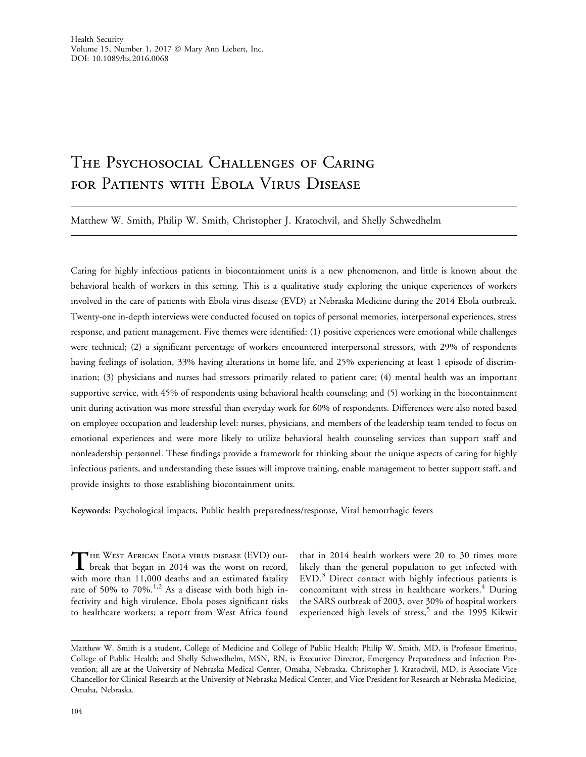# The Psychosocial Challenges of Caring for Patients with Ebola Virus Disease

Matthew W. Smith, Philip W. Smith, Christopher J. Kratochvil, and Shelly Schwedhelm

Caring for highly infectious patients in biocontainment units is a new phenomenon, and little is known about the behavioral health of workers in this setting. This is a qualitative study exploring the unique experiences of workers involved in the care of patients with Ebola virus disease (EVD) at Nebraska Medicine during the 2014 Ebola outbreak. Twenty-one in-depth interviews were conducted focused on topics of personal memories, interpersonal experiences, stress response, and patient management. Five themes were identified: (1) positive experiences were emotional while challenges were technical; (2) a significant percentage of workers encountered interpersonal stressors, with 29% of respondents having feelings of isolation, 33% having alterations in home life, and 25% experiencing at least 1 episode of discrimination; (3) physicians and nurses had stressors primarily related to patient care; (4) mental health was an important supportive service, with 45% of respondents using behavioral health counseling; and (5) working in the biocontainment unit during activation was more stressful than everyday work for 60% of respondents. Differences were also noted based on employee occupation and leadership level: nurses, physicians, and members of the leadership team tended to focus on emotional experiences and were more likely to utilize behavioral health counseling services than support staff and nonleadership personnel. These findings provide a framework for thinking about the unique aspects of caring for highly infectious patients, and understanding these issues will improve training, enable management to better support staff, and provide insights to those establishing biocontainment units.

Keywords: Psychological impacts, Public health preparedness/response, Viral hemorrhagic fevers

THE WEST AFRICAN EBOLA VIRUS DISEASE (EVD) out-<br>break that began in 2014 was the worst on record, with more than 11,000 deaths and an estimated fatality rate of 50% to 70%.<sup>1,2</sup> As a disease with both high infectivity and high virulence, Ebola poses significant risks to healthcare workers; a report from West Africa found

that in 2014 health workers were 20 to 30 times more likely than the general population to get infected with EVD.<sup>3</sup> Direct contact with highly infectious patients is concomitant with stress in healthcare workers.<sup>4</sup> During the SARS outbreak of 2003, over 30% of hospital workers experienced high levels of stress,<sup>5</sup> and the 1995 Kikwit

Matthew W. Smith is a student, College of Medicine and College of Public Health; Philip W. Smith, MD, is Professor Emeritus, College of Public Health; and Shelly Schwedhelm, MSN, RN, is Executive Director, Emergency Preparedness and Infection Prevention; all are at the University of Nebraska Medical Center, Omaha, Nebraska. Christopher J. Kratochvil, MD, is Associate Vice Chancellor for Clinical Research at the University of Nebraska Medical Center, and Vice President for Research at Nebraska Medicine, Omaha, Nebraska.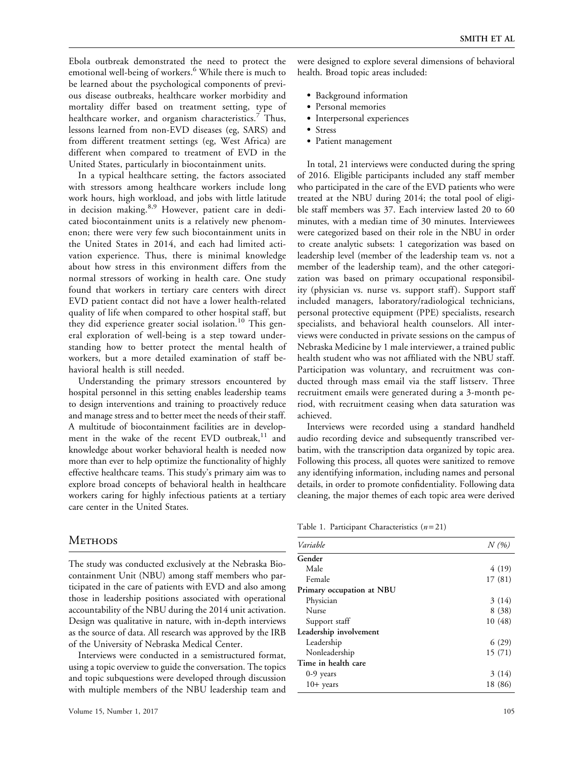Ebola outbreak demonstrated the need to protect the emotional well-being of workers.<sup>6</sup> While there is much to be learned about the psychological components of previous disease outbreaks, healthcare worker morbidity and mortality differ based on treatment setting, type of healthcare worker, and organism characteristics.<sup>7</sup> Thus, lessons learned from non-EVD diseases (eg, SARS) and from different treatment settings (eg, West Africa) are different when compared to treatment of EVD in the United States, particularly in biocontainment units.

In a typical healthcare setting, the factors associated with stressors among healthcare workers include long work hours, high workload, and jobs with little latitude in decision making.<sup>8,9</sup> However, patient care in dedicated biocontainment units is a relatively new phenomenon; there were very few such biocontainment units in the United States in 2014, and each had limited activation experience. Thus, there is minimal knowledge about how stress in this environment differs from the normal stressors of working in health care. One study found that workers in tertiary care centers with direct EVD patient contact did not have a lower health-related quality of life when compared to other hospital staff, but they did experience greater social isolation.<sup>10</sup> This general exploration of well-being is a step toward understanding how to better protect the mental health of workers, but a more detailed examination of staff behavioral health is still needed.

Understanding the primary stressors encountered by hospital personnel in this setting enables leadership teams to design interventions and training to proactively reduce and manage stress and to better meet the needs of their staff. A multitude of biocontainment facilities are in development in the wake of the recent EVD outbreak, $11$  and knowledge about worker behavioral health is needed now more than ever to help optimize the functionality of highly effective healthcare teams. This study's primary aim was to explore broad concepts of behavioral health in healthcare workers caring for highly infectious patients at a tertiary care center in the United States.

### **METHODS**

The study was conducted exclusively at the Nebraska Biocontainment Unit (NBU) among staff members who participated in the care of patients with EVD and also among those in leadership positions associated with operational accountability of the NBU during the 2014 unit activation. Design was qualitative in nature, with in-depth interviews as the source of data. All research was approved by the IRB of the University of Nebraska Medical Center.

Interviews were conducted in a semistructured format, using a topic overview to guide the conversation. The topics and topic subquestions were developed through discussion with multiple members of the NBU leadership team and were designed to explore several dimensions of behavioral health. Broad topic areas included:

- Background information
- Personal memories
- Interpersonal experiences
- Stress
- Patient management

In total, 21 interviews were conducted during the spring of 2016. Eligible participants included any staff member who participated in the care of the EVD patients who were treated at the NBU during 2014; the total pool of eligible staff members was 37. Each interview lasted 20 to 60 minutes, with a median time of 30 minutes. Interviewees were categorized based on their role in the NBU in order to create analytic subsets: 1 categorization was based on leadership level (member of the leadership team vs. not a member of the leadership team), and the other categorization was based on primary occupational responsibility (physician vs. nurse vs. support staff). Support staff included managers, laboratory/radiological technicians, personal protective equipment (PPE) specialists, research specialists, and behavioral health counselors. All interviews were conducted in private sessions on the campus of Nebraska Medicine by 1 male interviewer, a trained public health student who was not affiliated with the NBU staff. Participation was voluntary, and recruitment was conducted through mass email via the staff listserv. Three recruitment emails were generated during a 3-month period, with recruitment ceasing when data saturation was achieved.

Interviews were recorded using a standard handheld audio recording device and subsequently transcribed verbatim, with the transcription data organized by topic area. Following this process, all quotes were sanitized to remove any identifying information, including names and personal details, in order to promote confidentiality. Following data cleaning, the major themes of each topic area were derived

Table 1. Participant Characteristics  $(n=21)$ 

| Variable                  | N(%)    |
|---------------------------|---------|
| Gender                    |         |
| Male                      | 4 (19)  |
| Female                    | 17 (81) |
| Primary occupation at NBU |         |
| Physician                 | 3(14)   |
| Nurse                     | 8(38)   |
| Support staff             | 10(48)  |
| Leadership involvement    |         |
| Leadership                | 6(29)   |
| Nonleadership             | 15 (71) |
| Time in health care       |         |
| $0-9$ years               | 3 (14)  |
| $10+$ years               | 18 (86) |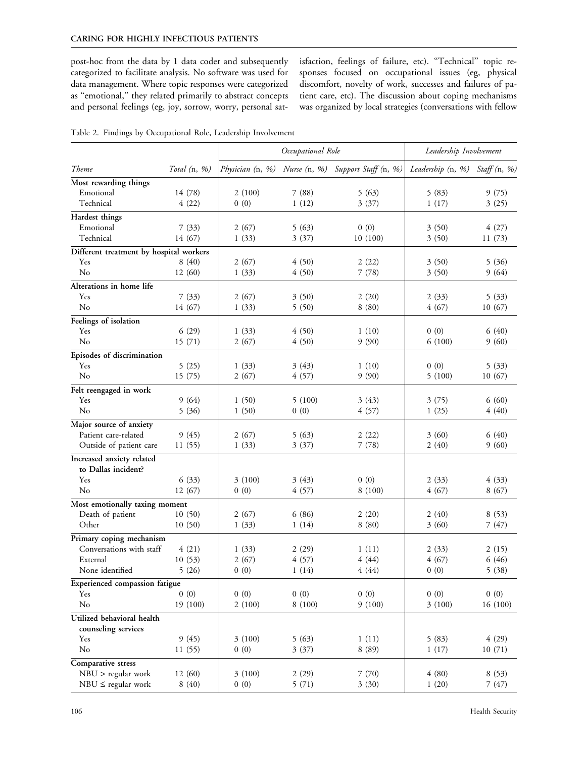post-hoc from the data by 1 data coder and subsequently categorized to facilitate analysis. No software was used for data management. Where topic responses were categorized as "emotional," they related primarily to abstract concepts and personal feelings (eg, joy, sorrow, worry, personal satisfaction, feelings of failure, etc). ''Technical'' topic responses focused on occupational issues (eg, physical discomfort, novelty of work, successes and failures of patient care, etc). The discussion about coping mechanisms was organized by local strategies (conversations with fellow

| Table 2. Findings by Occupational Role, Leadership Involvement |  |
|----------------------------------------------------------------|--|
|----------------------------------------------------------------|--|

|                                                   |                 | Occupational Role |                | Leadership Involvement                             |                                |                |
|---------------------------------------------------|-----------------|-------------------|----------------|----------------------------------------------------|--------------------------------|----------------|
| Theme                                             | Total $(n, %)$  |                   |                | Physician (n, %) Nurse (n, %) Support Staff (n, %) | Leadership (n, %) Staff (n, %) |                |
| Most rewarding things                             |                 |                   |                |                                                    |                                |                |
| Emotional                                         | 14 (78)         | 2(100)            | 7(88)          | 5(63)                                              | 5(83)                          | 9(75)          |
| Technical                                         | 4(22)           | 0(0)              | 1(12)          | 3(37)                                              | 1(17)                          | 3(25)          |
| Hardest things                                    |                 |                   |                |                                                    |                                |                |
| Emotional                                         | 7(33)           | 2(67)             | 5(63)          | 0(0)                                               | 3(50)                          | 4(27)          |
| Technical                                         | 14 (67)         | 1(33)             | 3(37)          | 10(100)                                            | 3(50)                          | 11(73)         |
| Different treatment by hospital workers           |                 |                   |                |                                                    |                                |                |
| Yes                                               | 8(40)           | 2(67)             | 4(50)          | 2(22)                                              | 3(50)                          | 5(36)          |
| No                                                | 12 (60)         | 1(33)             | 4(50)          | 7(78)                                              | 3(50)                          | 9(64)          |
| Alterations in home life                          |                 |                   |                |                                                    |                                |                |
| Yes                                               | 7(33)           | 2(67)             | 3(50)          | 2(20)                                              | 2(33)                          | 5(33)          |
| No                                                | 14 (67)         | 1(33)             | 5(50)          | 8(80)                                              | 4(67)                          | 10 (67)        |
|                                                   |                 |                   |                |                                                    |                                |                |
| Feelings of isolation                             |                 |                   |                |                                                    |                                |                |
| Yes<br>No                                         | 6(29)<br>15(71) | 1(33)             | 4(50)<br>4(50) | 1(10)<br>9(90)                                     | 0(0)<br>6(100)                 | 6(40)<br>9(60) |
|                                                   |                 | 2(67)             |                |                                                    |                                |                |
| Episodes of discrimination                        |                 |                   |                |                                                    |                                |                |
| Yes                                               | 5(25)           | 1(33)             | 3(43)          | 1(10)                                              | 0(0)                           | 5(33)          |
| No                                                | 15 (75)         | 2(67)             | 4(57)          | 9(90)                                              | 5(100)                         | 10(67)         |
| Felt reengaged in work                            |                 |                   |                |                                                    |                                |                |
| Yes                                               | 9(64)           | 1(50)             | 5(100)         | 3(43)                                              | 3(75)                          | 6(60)          |
| No                                                | 5(36)           | 1(50)             | 0(0)           | 4(57)                                              | 1(25)                          | 4(40)          |
| Major source of anxiety                           |                 |                   |                |                                                    |                                |                |
| Patient care-related                              | 9(45)           | 2(67)             | 5(63)          | 2(22)                                              | 3(60)                          | 6(40)          |
| Outside of patient care                           | 11(55)          | 1(33)             | 3(37)          | 7(78)                                              | 2(40)                          | 9(60)          |
| Increased anxiety related                         |                 |                   |                |                                                    |                                |                |
| to Dallas incident?                               |                 |                   |                |                                                    |                                |                |
| Yes                                               | 6(33)           | 3(100)            | 3(43)          | 0(0)                                               | 2(33)                          | 4(33)          |
| No                                                | 12 (67)         | 0(0)              | 4(57)          | 8(100)                                             | 4(67)                          | 8(67)          |
| Most emotionally taxing moment                    |                 |                   |                |                                                    |                                |                |
| Death of patient                                  | 10(50)          | 2 (67)            | 6(86)          | 2(20)                                              | 2 (40)                         | 8(53)          |
| Other                                             | 10(50)          | 1(33)             | 1(14)          | 8(80)                                              | 3(60)                          | 7(47)          |
| Primary coping mechanism                          |                 |                   |                |                                                    |                                |                |
| Conversations with staff                          | 4(21)           | 1(33)             | 2(29)          | 1(11)                                              | 2(33)                          | 2(15)          |
| External                                          | 10(53)          | 2(67)             | 4(57)          | 4(44)                                              | 4(67)                          | 6(46)          |
| None identified                                   | 5(26)           | 0(0)              | 1(14)          | 4(44)                                              | 0(0)                           | 5(38)          |
| Experienced compassion fatigue                    |                 |                   |                |                                                    |                                |                |
| Yes                                               | 0(0)            | 0(0)              | 0(0)           | 0(0)                                               | 0(0)                           | 0(0)           |
| No                                                | 19 (100)        | 2(100)            | 8 (100)        | 9(100)                                             | 3(100)                         | 16 (100)       |
|                                                   |                 |                   |                |                                                    |                                |                |
| Utilized behavioral health<br>counseling services |                 |                   |                |                                                    |                                |                |
| Yes                                               | 9(45)           | 3(100)            | 5(63)          | 1(11)                                              | 5(83)                          | 4(29)          |
| No                                                | 11(55)          | 0(0)              | 3(37)          | 8 (89)                                             | 1(17)                          | 10 (71)        |
|                                                   |                 |                   |                |                                                    |                                |                |
| Comparative stress                                |                 |                   |                |                                                    |                                |                |
| NBU > regular work                                | 12 (60)         | 3(100)            | 2(29)          | 7(70)                                              | 4(80)                          | 8(53)          |
| $NBU \leq$ regular work                           | 8(40)           | 0(0)              | 5(71)          | 3(30)                                              | 1(20)                          | 7(47)          |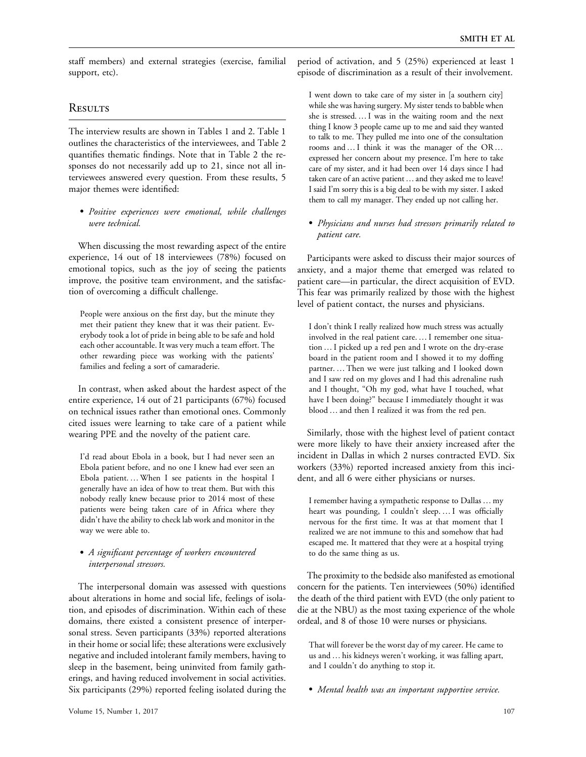staff members) and external strategies (exercise, familial support, etc).

### **RESULTS**

The interview results are shown in Tables 1 and 2. Table 1 outlines the characteristics of the interviewees, and Table 2 quantifies thematic findings. Note that in Table 2 the responses do not necessarily add up to 21, since not all interviewees answered every question. From these results, 5 major themes were identified:

- Positive experiences were emotional, while challenges were technical.

When discussing the most rewarding aspect of the entire experience, 14 out of 18 interviewees (78%) focused on emotional topics, such as the joy of seeing the patients improve, the positive team environment, and the satisfaction of overcoming a difficult challenge.

People were anxious on the first day, but the minute they met their patient they knew that it was their patient. Everybody took a lot of pride in being able to be safe and hold each other accountable. It was very much a team effort. The other rewarding piece was working with the patients' families and feeling a sort of camaraderie.

In contrast, when asked about the hardest aspect of the entire experience, 14 out of 21 participants (67%) focused on technical issues rather than emotional ones. Commonly cited issues were learning to take care of a patient while wearing PPE and the novelty of the patient care.

I'd read about Ebola in a book, but I had never seen an Ebola patient before, and no one I knew had ever seen an Ebola patient. ... When I see patients in the hospital I generally have an idea of how to treat them. But with this nobody really knew because prior to 2014 most of these patients were being taken care of in Africa where they didn't have the ability to check lab work and monitor in the way we were able to.

#### - A significant percentage of workers encountered interpersonal stressors.

The interpersonal domain was assessed with questions about alterations in home and social life, feelings of isolation, and episodes of discrimination. Within each of these domains, there existed a consistent presence of interpersonal stress. Seven participants (33%) reported alterations in their home or social life; these alterations were exclusively negative and included intolerant family members, having to sleep in the basement, being uninvited from family gatherings, and having reduced involvement in social activities. Six participants (29%) reported feeling isolated during the period of activation, and 5 (25%) experienced at least 1 episode of discrimination as a result of their involvement.

I went down to take care of my sister in [a southern city] while she was having surgery. My sister tends to babble when she is stressed.... I was in the waiting room and the next thing I know 3 people came up to me and said they wanted to talk to me. They pulled me into one of the consultation rooms and ... I think it was the manager of the OR... expressed her concern about my presence. I'm here to take care of my sister, and it had been over 14 days since I had taken care of an active patient ... and they asked me to leave! I said I'm sorry this is a big deal to be with my sister. I asked them to call my manager. They ended up not calling her.

- Physicians and nurses had stressors primarily related to patient care.

Participants were asked to discuss their major sources of anxiety, and a major theme that emerged was related to patient care—in particular, the direct acquisition of EVD. This fear was primarily realized by those with the highest level of patient contact, the nurses and physicians.

I don't think I really realized how much stress was actually involved in the real patient care. ... I remember one situation ... I picked up a red pen and I wrote on the dry-erase board in the patient room and I showed it to my doffing partner. ... Then we were just talking and I looked down and I saw red on my gloves and I had this adrenaline rush and I thought, "Oh my god, what have I touched, what have I been doing?'' because I immediately thought it was blood. and then I realized it was from the red pen.

Similarly, those with the highest level of patient contact were more likely to have their anxiety increased after the incident in Dallas in which 2 nurses contracted EVD. Six workers (33%) reported increased anxiety from this incident, and all 6 were either physicians or nurses.

I remember having a sympathetic response to Dallas ... my heart was pounding, I couldn't sleep.... I was officially nervous for the first time. It was at that moment that I realized we are not immune to this and somehow that had escaped me. It mattered that they were at a hospital trying to do the same thing as us.

The proximity to the bedside also manifested as emotional concern for the patients. Ten interviewees (50%) identified the death of the third patient with EVD (the only patient to die at the NBU) as the most taxing experience of the whole ordeal, and 8 of those 10 were nurses or physicians.

That will forever be the worst day of my career. He came to us and ... his kidneys weren't working, it was falling apart, and I couldn't do anything to stop it.

- Mental health was an important supportive service.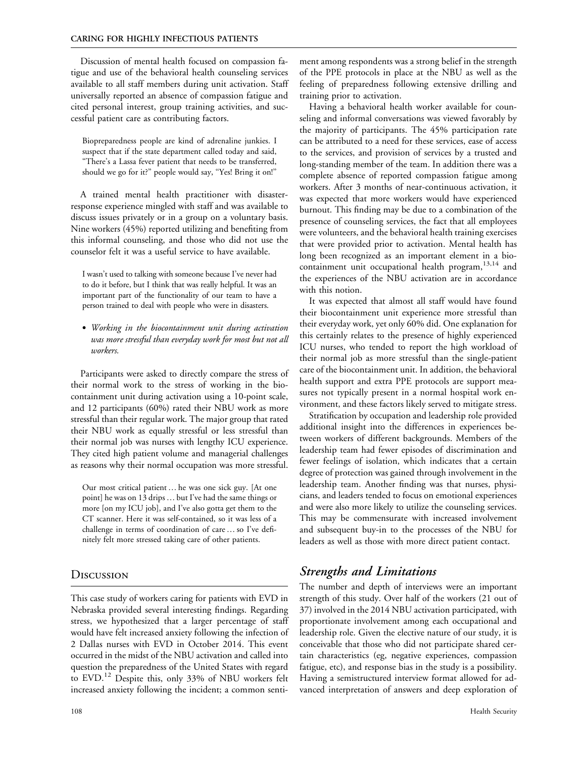Discussion of mental health focused on compassion fatigue and use of the behavioral health counseling services available to all staff members during unit activation. Staff universally reported an absence of compassion fatigue and cited personal interest, group training activities, and successful patient care as contributing factors.

Biopreparedness people are kind of adrenaline junkies. I suspect that if the state department called today and said, ''There's a Lassa fever patient that needs to be transferred, should we go for it?'' people would say, ''Yes! Bring it on!''

A trained mental health practitioner with disasterresponse experience mingled with staff and was available to discuss issues privately or in a group on a voluntary basis. Nine workers (45%) reported utilizing and benefiting from this informal counseling, and those who did not use the counselor felt it was a useful service to have available.

I wasn't used to talking with someone because I've never had to do it before, but I think that was really helpful. It was an important part of the functionality of our team to have a person trained to deal with people who were in disasters.

- Working in the biocontainment unit during activation was more stressful than everyday work for most but not all workers.

Participants were asked to directly compare the stress of their normal work to the stress of working in the biocontainment unit during activation using a 10-point scale, and 12 participants (60%) rated their NBU work as more stressful than their regular work. The major group that rated their NBU work as equally stressful or less stressful than their normal job was nurses with lengthy ICU experience. They cited high patient volume and managerial challenges as reasons why their normal occupation was more stressful.

Our most critical patient ... he was one sick guy. [At one point] he was on 13 drips ... but I've had the same things or more [on my ICU job], and I've also gotta get them to the CT scanner. Here it was self-contained, so it was less of a challenge in terms of coordination of care. so I've definitely felt more stressed taking care of other patients.

### **Discussion**

This case study of workers caring for patients with EVD in Nebraska provided several interesting findings. Regarding stress, we hypothesized that a larger percentage of staff would have felt increased anxiety following the infection of 2 Dallas nurses with EVD in October 2014. This event occurred in the midst of the NBU activation and called into question the preparedness of the United States with regard to EVD.<sup>12</sup> Despite this, only 33% of NBU workers felt increased anxiety following the incident; a common sentiment among respondents was a strong belief in the strength of the PPE protocols in place at the NBU as well as the feeling of preparedness following extensive drilling and training prior to activation.

Having a behavioral health worker available for counseling and informal conversations was viewed favorably by the majority of participants. The 45% participation rate can be attributed to a need for these services, ease of access to the services, and provision of services by a trusted and long-standing member of the team. In addition there was a complete absence of reported compassion fatigue among workers. After 3 months of near-continuous activation, it was expected that more workers would have experienced burnout. This finding may be due to a combination of the presence of counseling services, the fact that all employees were volunteers, and the behavioral health training exercises that were provided prior to activation. Mental health has long been recognized as an important element in a biocontainment unit occupational health program, $13,14$  and the experiences of the NBU activation are in accordance with this notion.

It was expected that almost all staff would have found their biocontainment unit experience more stressful than their everyday work, yet only 60% did. One explanation for this certainly relates to the presence of highly experienced ICU nurses, who tended to report the high workload of their normal job as more stressful than the single-patient care of the biocontainment unit. In addition, the behavioral health support and extra PPE protocols are support measures not typically present in a normal hospital work environment, and these factors likely served to mitigate stress.

Stratification by occupation and leadership role provided additional insight into the differences in experiences between workers of different backgrounds. Members of the leadership team had fewer episodes of discrimination and fewer feelings of isolation, which indicates that a certain degree of protection was gained through involvement in the leadership team. Another finding was that nurses, physicians, and leaders tended to focus on emotional experiences and were also more likely to utilize the counseling services. This may be commensurate with increased involvement and subsequent buy-in to the processes of the NBU for leaders as well as those with more direct patient contact.

## Strengths and Limitations

The number and depth of interviews were an important strength of this study. Over half of the workers (21 out of 37) involved in the 2014 NBU activation participated, with proportionate involvement among each occupational and leadership role. Given the elective nature of our study, it is conceivable that those who did not participate shared certain characteristics (eg, negative experiences, compassion fatigue, etc), and response bias in the study is a possibility. Having a semistructured interview format allowed for advanced interpretation of answers and deep exploration of